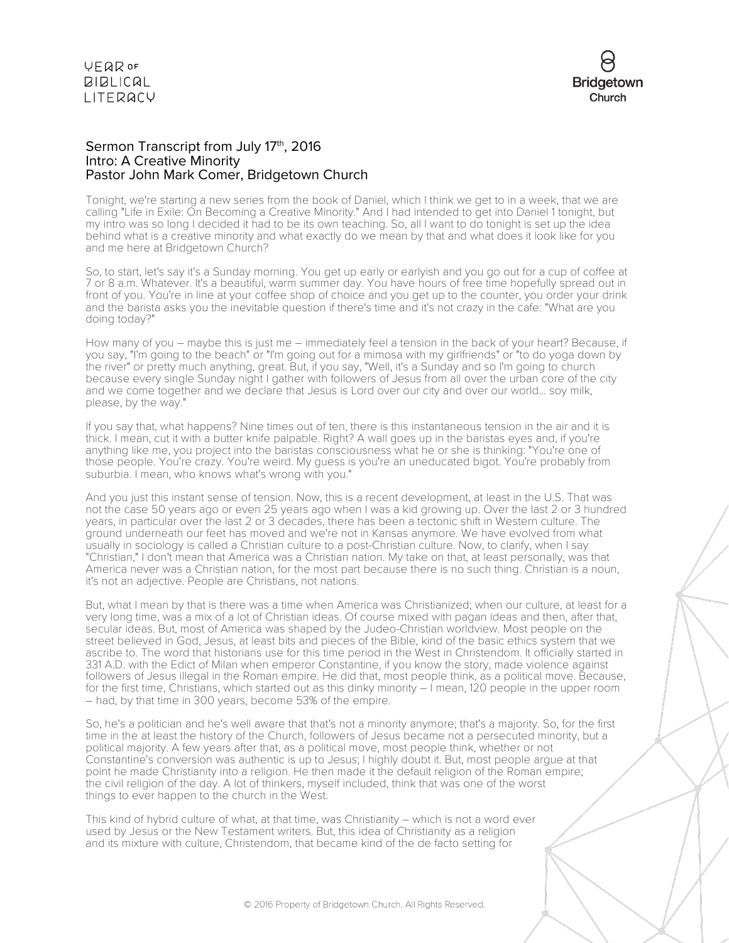

### Sermon Transcript from July 17<sup>th</sup>, 2016 Intro: A Creative Minority Pastor John Mark Comer, Bridgetown Church

Tonight, we're starting a new series from the book of Daniel, which I think we get to in a week, that we are calling "Life in Exile: On Becoming a Creative Minority." And I had intended to get into Daniel 1 tonight, but my intro was so long I decided it had to be its own teaching. So, all I want to do tonight is set up the idea behind what is a creative minority and what exactly do we mean by that and what does it look like for you and me here at Bridgetown Church?

So, to start, let's say it's a Sunday morning. You get up early or earlyish and you go out for a cup of coffee at 7 or 8 a.m. Whatever. It's a beautiful, warm summer day. You have hours of free time hopefully spread out in front of you. You're in line at your coffee shop of choice and you get up to the counter, you order your drink and the barista asks you the inevitable question if there's time and it's not crazy in the cafe: "What are you doing today?"

How many of you – maybe this is just me – immediately feel a tension in the back of your heart? Because, if you say, "I'm going to the beach" or "I'm going out for a mimosa with my girlfriends" or "to do yoga down by the river" or pretty much anything, great. But, if you say, "Well, it's a Sunday and so I'm going to church because every single Sunday night I gather with followers of Jesus from all over the urban core of the city and we come together and we declare that Jesus is Lord over our city and over our world... soy milk, please, by the way."

If you say that, what happens? Nine times out of ten, there is this instantaneous tension in the air and it is thick. I mean, cut it with a butter knife palpable. Right? A wall goes up in the baristas eyes and, if you're anything like me, you project into the baristas consciousness what he or she is thinking: "You're one of those people. You're crazy. You're weird. My guess is you're an uneducated bigot. You're probably from suburbia. I mean, who knows what's wrong with you."

And you just this instant sense of tension. Now, this is a recent development, at least in the U.S. That was not the case 50 years ago or even 25 years ago when I was a kid growing up. Over the last 2 or 3 hundred years, in particular over the last 2 or 3 decades, there has been a tectonic shift in Western culture. The ground underneath our feet has moved and we're not in Kansas anymore. We have evolved from what usually in sociology is called a Christian culture to a post-Christian culture. Now, to clarify, when I say "Christian," I don't mean that America was a Christian nation. My take on that, at least personally, was that America never was a Christian nation, for the most part because there is no such thing. Christian is a noun, it's not an adjective. People are Christians, not nations.

But, what I mean by that is there was a time when America was Christianized; when our culture, at least for a very long time, was a mix of a lot of Christian ideas. Of course mixed with pagan ideas and then, after that, secular ideas. But, most of America was shaped by the Judeo-Christian worldview. Most people on the street believed in God, Jesus, at least bits and pieces of the Bible, kind of the basic ethics system that we ascribe to. The word that historians use for this time period in the West in Christendom. It officially started in 331 A.D. with the Edict of Milan when emperor Constantine, if you know the story, made violence against followers of Jesus illegal in the Roman empire. He did that, most people think, as a political move. Because, for the first time, Christians, which started out as this dinky minority – I mean, 120 people in the upper room – had, by that time in 300 years, become 53% of the empire.

So, he's a politician and he's well aware that that's not a minority anymore; that's a majority. So, for the first time in the at least the history of the Church, followers of Jesus became not a persecuted minority, but a political majority. A few years after that, as a political move, most people think, whether or not Constantine's conversion was authentic is up to Jesus; I highly doubt it. But, most people argue at that point he made Christianity into a religion. He then made it the default religion of the Roman empire; the civil religion of the day. A lot of thinkers, myself included, think that was one of the worst things to ever happen to the church in the West.

This kind of hybrid culture of what, at that time, was Christianity – which is not a word ever used by Jesus or the New Testament writers. But, this idea of Christianity as a religion and its mixture with culture, Christendom, that became kind of the de facto setting for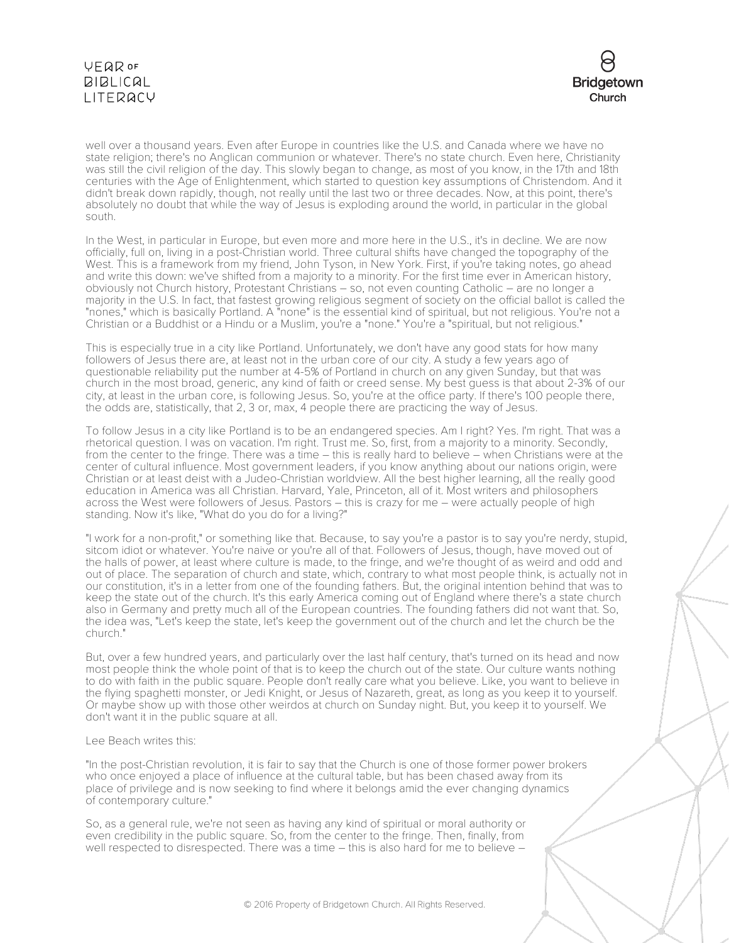

well over a thousand years. Even after Europe in countries like the U.S. and Canada where we have no state religion; there's no Anglican communion or whatever. There's no state church. Even here, Christianity was still the civil religion of the day. This slowly began to change, as most of you know, in the 17th and 18th centuries with the Age of Enlightenment, which started to question key assumptions of Christendom. And it didn't break down rapidly, though, not really until the last two or three decades. Now, at this point, there's absolutely no doubt that while the way of Jesus is exploding around the world, in particular in the global south.

In the West, in particular in Europe, but even more and more here in the U.S., it's in decline. We are now officially, full on, living in a post-Christian world. Three cultural shifts have changed the topography of the West. This is a framework from my friend, John Tyson, in New York. First, if you're taking notes, go ahead and write this down: we've shifted from a majority to a minority. For the first time ever in American history, obviously not Church history, Protestant Christians – so, not even counting Catholic – are no longer a majority in the U.S. In fact, that fastest growing religious segment of society on the official ballot is called the "nones," which is basically Portland. A "none" is the essential kind of spiritual, but not religious. You're not a Christian or a Buddhist or a Hindu or a Muslim, you're a "none." You're a "spiritual, but not religious."

This is especially true in a city like Portland. Unfortunately, we don't have any good stats for how many followers of Jesus there are, at least not in the urban core of our city. A study a few years ago of questionable reliability put the number at 4-5% of Portland in church on any given Sunday, but that was church in the most broad, generic, any kind of faith or creed sense. My best guess is that about 2-3% of our city, at least in the urban core, is following Jesus. So, you're at the office party. If there's 100 people there, the odds are, statistically, that 2, 3 or, max, 4 people there are practicing the way of Jesus.

To follow Jesus in a city like Portland is to be an endangered species. Am I right? Yes. I'm right. That was a rhetorical question. I was on vacation. I'm right. Trust me. So, first, from a majority to a minority. Secondly, from the center to the fringe. There was a time – this is really hard to believe – when Christians were at the center of cultural influence. Most government leaders, if you know anything about our nations origin, were Christian or at least deist with a Judeo-Christian worldview. All the best higher learning, all the really good education in America was all Christian. Harvard, Yale, Princeton, all of it. Most writers and philosophers across the West were followers of Jesus. Pastors – this is crazy for me – were actually people of high standing. Now it's like, "What do you do for a living?"

"I work for a non-profit," or something like that. Because, to say you're a pastor is to say you're nerdy, stupid, sitcom idiot or whatever. You're naive or you're all of that. Followers of Jesus, though, have moved out of the halls of power, at least where culture is made, to the fringe, and we're thought of as weird and odd and out of place. The separation of church and state, which, contrary to what most people think, is actually not in our constitution, it's in a letter from one of the founding fathers. But, the original intention behind that was to keep the state out of the church. It's this early America coming out of England where there's a state church also in Germany and pretty much all of the European countries. The founding fathers did not want that. So, the idea was, "Let's keep the state, let's keep the government out of the church and let the church be the church."

But, over a few hundred years, and particularly over the last half century, that's turned on its head and now most people think the whole point of that is to keep the church out of the state. Our culture wants nothing to do with faith in the public square. People don't really care what you believe. Like, you want to believe in the flying spaghetti monster, or Jedi Knight, or Jesus of Nazareth, great, as long as you keep it to yourself. Or maybe show up with those other weirdos at church on Sunday night. But, you keep it to yourself. We don't want it in the public square at all.

### Lee Beach writes this:

"In the post-Christian revolution, it is fair to say that the Church is one of those former power brokers who once enjoyed a place of influence at the cultural table, but has been chased away from its place of privilege and is now seeking to find where it belongs amid the ever changing dynamics of contemporary culture."

So, as a general rule, we're not seen as having any kind of spiritual or moral authority or even credibility in the public square. So, from the center to the fringe. Then, finally, from well respected to disrespected. There was a time – this is also hard for me to believe –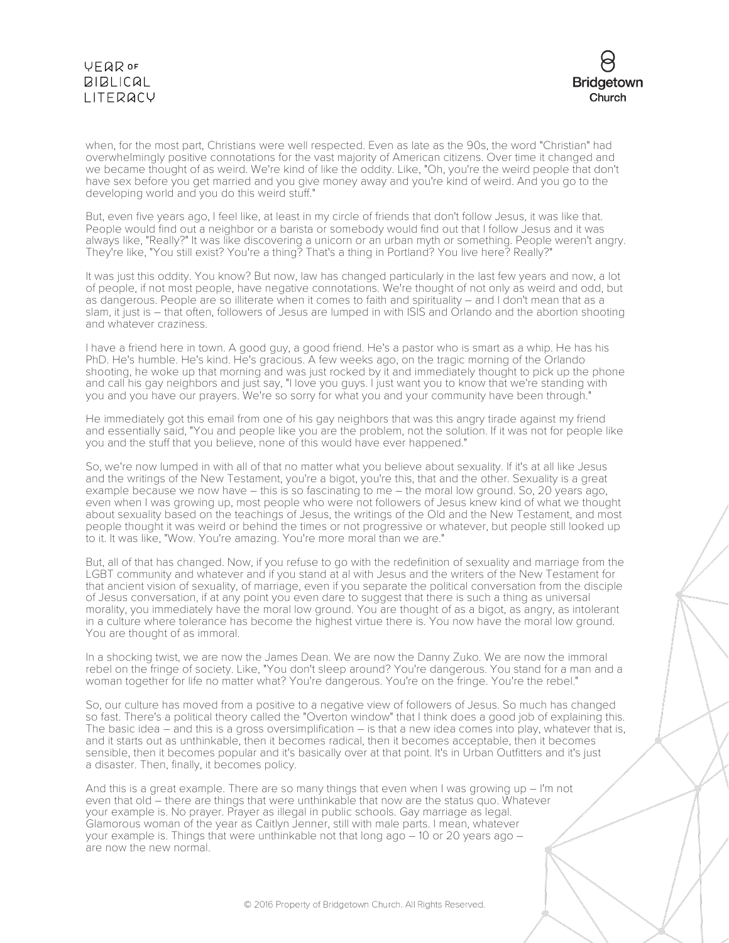

when, for the most part, Christians were well respected. Even as late as the 90s, the word "Christian" had overwhelmingly positive connotations for the vast majority of American citizens. Over time it changed and we became thought of as weird. We're kind of like the oddity. Like, "Oh, you're the weird people that don't have sex before you get married and you give money away and you're kind of weird. And you go to the developing world and you do this weird stuff."

But, even five years ago, I feel like, at least in my circle of friends that don't follow Jesus, it was like that. People would find out a neighbor or a barista or somebody would find out that I follow Jesus and it was always like, "Really?" It was like discovering a unicorn or an urban myth or something. People weren't angry. They're like, "You still exist? You're a thing? That's a thing in Portland? You live here? Really?"

It was just this oddity. You know? But now, law has changed particularly in the last few years and now, a lot of people, if not most people, have negative connotations. We're thought of not only as weird and odd, but as dangerous. People are so illiterate when it comes to faith and spirituality – and I don't mean that as a slam, it just is – that often, followers of Jesus are lumped in with ISIS and Orlando and the abortion shooting and whatever craziness.

I have a friend here in town. A good guy, a good friend. He's a pastor who is smart as a whip. He has his PhD. He's humble. He's kind. He's gracious. A few weeks ago, on the tragic morning of the Orlando shooting, he woke up that morning and was just rocked by it and immediately thought to pick up the phone and call his gay neighbors and just say, "I love you guys. I just want you to know that we're standing with you and you have our prayers. We're so sorry for what you and your community have been through."

He immediately got this email from one of his gay neighbors that was this angry tirade against my friend and essentially said, "You and people like you are the problem, not the solution. If it was not for people like you and the stuff that you believe, none of this would have ever happened."

So, we're now lumped in with all of that no matter what you believe about sexuality. If it's at all like Jesus and the writings of the New Testament, you're a bigot, you're this, that and the other. Sexuality is a great example because we now have – this is so fascinating to me – the moral low ground. So, 20 years ago, even when I was growing up, most people who were not followers of Jesus knew kind of what we thought about sexuality based on the teachings of Jesus, the writings of the Old and the New Testament, and most people thought it was weird or behind the times or not progressive or whatever, but people still looked up to it. It was like, "Wow. You're amazing. You're more moral than we are."

But, all of that has changed. Now, if you refuse to go with the redefinition of sexuality and marriage from the LGBT community and whatever and if you stand at al with Jesus and the writers of the New Testament for that ancient vision of sexuality, of marriage, even if you separate the political conversation from the disciple of Jesus conversation, if at any point you even dare to suggest that there is such a thing as universal morality, you immediately have the moral low ground. You are thought of as a bigot, as angry, as intolerant in a culture where tolerance has become the highest virtue there is. You now have the moral low ground. You are thought of as immoral.

In a shocking twist, we are now the James Dean. We are now the Danny Zuko. We are now the immoral rebel on the fringe of society. Like, "You don't sleep around? You're dangerous. You stand for a man and a woman together for life no matter what? You're dangerous. You're on the fringe. You're the rebel."

So, our culture has moved from a positive to a negative view of followers of Jesus. So much has changed so fast. There's a political theory called the "Overton window" that I think does a good job of explaining this. The basic idea – and this is a gross oversimplification – is that a new idea comes into play, whatever that is, and it starts out as unthinkable, then it becomes radical, then it becomes acceptable, then it becomes sensible, then it becomes popular and it's basically over at that point. It's in Urban Outfitters and it's just a disaster. Then, finally, it becomes policy.

And this is a great example. There are so many things that even when I was growing  $up - l'm$  not even that old – there are things that were unthinkable that now are the status quo. Whatever your example is. No prayer. Prayer as illegal in public schools. Gay marriage as legal. Glamorous woman of the year as Caitlyn Jenner, still with male parts. I mean, whatever your example is. Things that were unthinkable not that long ago – 10 or 20 years ago – are now the new normal.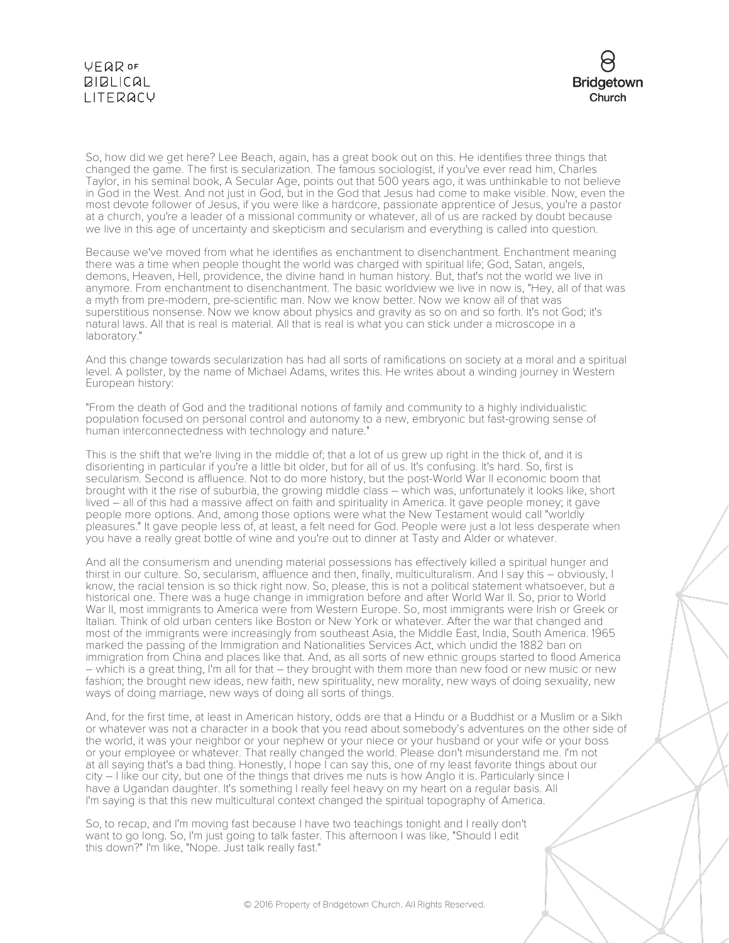

So, how did we get here? Lee Beach, again, has a great book out on this. He identifies three things that changed the game. The first is secularization. The famous sociologist, if you've ever read him, Charles Taylor, in his seminal book, A Secular Age, points out that 500 years ago, it was unthinkable to not believe in God in the West. And not just in God, but in the God that Jesus had come to make visible. Now, even the most devote follower of Jesus, if you were like a hardcore, passionate apprentice of Jesus, you're a pastor at a church, you're a leader of a missional community or whatever, all of us are racked by doubt because we live in this age of uncertainty and skepticism and secularism and everything is called into question.

Because we've moved from what he identifies as enchantment to disenchantment. Enchantment meaning there was a time when people thought the world was charged with spiritual life; God, Satan, angels, demons, Heaven, Hell, providence, the divine hand in human history. But, that's not the world we live in anymore. From enchantment to disenchantment. The basic worldview we live in now is, "Hey, all of that was a myth from pre-modern, pre-scientific man. Now we know better. Now we know all of that was superstitious nonsense. Now we know about physics and gravity as so on and so forth. It's not God; it's natural laws. All that is real is material. All that is real is what you can stick under a microscope in a laboratory."

And this change towards secularization has had all sorts of ramifications on society at a moral and a spiritual level. A pollster, by the name of Michael Adams, writes this. He writes about a winding journey in Western European history:

"From the death of God and the traditional notions of family and community to a highly individualistic population focused on personal control and autonomy to a new, embryonic but fast-growing sense of human interconnectedness with technology and nature."

This is the shift that we're living in the middle of; that a lot of us grew up right in the thick of, and it is disorienting in particular if you're a little bit older, but for all of us. It's confusing. It's hard. So, first is secularism. Second is affluence. Not to do more history, but the post-World War II economic boom that brought with it the rise of suburbia, the growing middle class – which was, unfortunately it looks like, short lived – all of this had a massive affect on faith and spirituality in America. It gave people money; it gave people more options. And, among those options were what the New Testament would call "worldly pleasures." It gave people less of, at least, a felt need for God. People were just a lot less desperate when you have a really great bottle of wine and you're out to dinner at Tasty and Alder or whatever.

And all the consumerism and unending material possessions has effectively killed a spiritual hunger and thirst in our culture. So, secularism, affluence and then, finally, multiculturalism. And I say this – obviously, I know, the racial tension is so thick right now. So, please, this is not a political statement whatsoever, but a historical one. There was a huge change in immigration before and after World War II. So, prior to World War II, most immigrants to America were from Western Europe. So, most immigrants were Irish or Greek or Italian. Think of old urban centers like Boston or New York or whatever. After the war that changed and most of the immigrants were increasingly from southeast Asia, the Middle East, India, South America. 1965 marked the passing of the Immigration and Nationalities Services Act, which undid the 1882 ban on immigration from China and places like that. And, as all sorts of new ethnic groups started to flood America – which is a great thing, I'm all for that – they brought with them more than new food or new music or new fashion; the brought new ideas, new faith, new spirituality, new morality, new ways of doing sexuality, new ways of doing marriage, new ways of doing all sorts of things.

And, for the first time, at least in American history, odds are that a Hindu or a Buddhist or a Muslim or a Sikh or whatever was not a character in a book that you read about somebody's adventures on the other side of the world, it was your neighbor or your nephew or your niece or your husband or your wife or your boss or your employee or whatever. That really changed the world. Please don't misunderstand me. I'm not at all saying that's a bad thing. Honestly, I hope I can say this, one of my least favorite things about our city – I like our city, but one of the things that drives me nuts is how Anglo it is. Particularly since I have a Ugandan daughter. It's something I really feel heavy on my heart on a regular basis. All I'm saying is that this new multicultural context changed the spiritual topography of America.

So, to recap, and I'm moving fast because I have two teachings tonight and I really don't want to go long. So, I'm just going to talk faster. This afternoon I was like, "Should I edit this down?" I'm like, "Nope. Just talk really fast."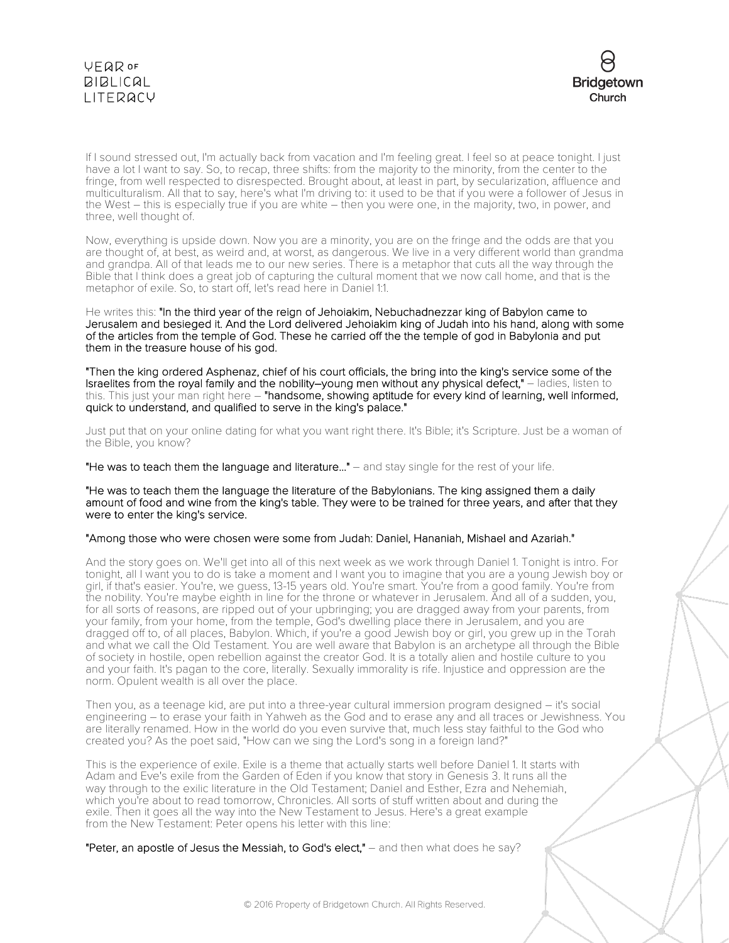

If I sound stressed out, I'm actually back from vacation and I'm feeling great. I feel so at peace tonight. I just have a lot I want to say. So, to recap, three shifts: from the majority to the minority, from the center to the fringe, from well respected to disrespected. Brought about, at least in part, by secularization, affluence and multiculturalism. All that to say, here's what I'm driving to: it used to be that if you were a follower of Jesus in the West – this is especially true if you are white – then you were one, in the majority, two, in power, and three, well thought of.

Now, everything is upside down. Now you are a minority, you are on the fringe and the odds are that you are thought of, at best, as weird and, at worst, as dangerous. We live in a very different world than grandma and grandpa. All of that leads me to our new series. There is a metaphor that cuts all the way through the Bible that I think does a great job of capturing the cultural moment that we now call home, and that is the metaphor of exile. So, to start off, let's read here in Daniel 1:1.

He writes this: "In the third year of the reign of Jehoiakim, Nebuchadnezzar king of Babylon came to Jerusalem and besieged it. And the Lord delivered Jehoiakim king of Judah into his hand, along with some of the articles from the temple of God. These he carried off the the temple of god in Babylonia and put them in the treasure house of his god.

"Then the king ordered Asphenaz, chief of his court officials, the bring into the king's service some of the Israelites from the royal family and the nobility–young men without any physical defect," – ladies, listen to this. This just your man right here – "handsome, showing aptitude for every kind of learning, well informed, quick to understand, and qualified to serve in the king's palace."

Just put that on your online dating for what you want right there. It's Bible; it's Scripture. Just be a woman of the Bible, you know?

"He was to teach them the language and literature..." – and stay single for the rest of your life.

"He was to teach them the language the literature of the Babylonians. The king assigned them a daily amount of food and wine from the king's table. They were to be trained for three years, and after that they were to enter the king's service.

"Among those who were chosen were some from Judah: Daniel, Hananiah, Mishael and Azariah."

And the story goes on. We'll get into all of this next week as we work through Daniel 1. Tonight is intro. For tonight, all I want you to do is take a moment and I want you to imagine that you are a young Jewish boy or girl, if that's easier. You're, we guess, 13-15 years old. You're smart. You're from a good family. You're from the nobility. You're maybe eighth in line for the throne or whatever in Jerusalem. And all of a sudden, you, for all sorts of reasons, are ripped out of your upbringing; you are dragged away from your parents, from your family, from your home, from the temple, God's dwelling place there in Jerusalem, and you are dragged off to, of all places, Babylon. Which, if you're a good Jewish boy or girl, you grew up in the Torah and what we call the Old Testament. You are well aware that Babylon is an archetype all through the Bible of society in hostile, open rebellion against the creator God. It is a totally alien and hostile culture to you and your faith. It's pagan to the core, literally. Sexually immorality is rife. Injustice and oppression are the norm. Opulent wealth is all over the place.

Then you, as a teenage kid, are put into a three-year cultural immersion program designed – it's social engineering – to erase your faith in Yahweh as the God and to erase any and all traces or Jewishness. You are literally renamed. How in the world do you even survive that, much less stay faithful to the God who created you? As the poet said, "How can we sing the Lord's song in a foreign land?"

This is the experience of exile. Exile is a theme that actually starts well before Daniel 1. It starts with Adam and Eve's exile from the Garden of Eden if you know that story in Genesis 3. It runs all the way through to the exilic literature in the Old Testament; Daniel and Esther, Ezra and Nehemiah, which you're about to read tomorrow, Chronicles. All sorts of stuff written about and during the exile. Then it goes all the way into the New Testament to Jesus. Here's a great example from the New Testament: Peter opens his letter with this line:

"Peter, an apostle of Jesus the Messiah, to God's elect," – and then what does he say?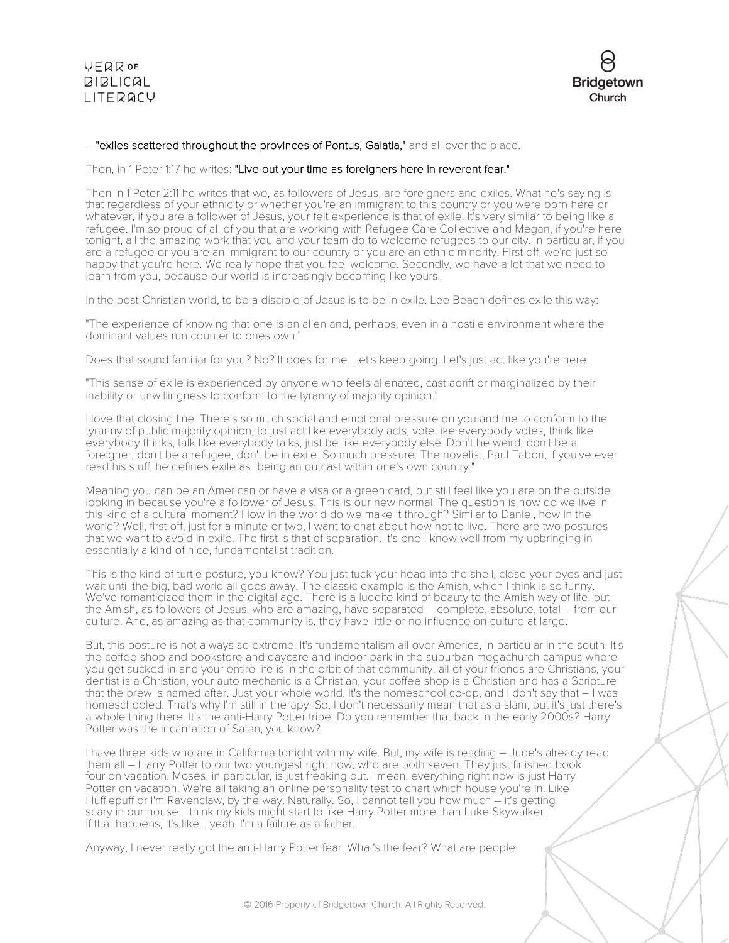

### – "exiles scattered throughout the provinces of Pontus, Galatia," and all over the place.

Then, in 1 Peter 1:17 he writes: "Live out your time as foreigners here in reverent fear."

Then in 1 Peter 2:11 he writes that we, as followers of Jesus, are foreigners and exiles. What he's saying is that regardless of your ethnicity or whether you're an immigrant to this country or you were born here or whatever, if you are a follower of Jesus, your felt experience is that of exile. It's very similar to being like a refugee. I'm so proud of all of you that are working with Refugee Care Collective and Megan, if you're here tonight, all the amazing work that you and your team do to welcome refugees to our city. In particular, if you are a refugee or you are an immigrant to our country or you are an ethnic minority. First off, we're just so happy that you're here. We really hope that you feel welcome. Secondly, we have a lot that we need to learn from you, because our world is increasingly becoming like yours.

In the post-Christian world, to be a disciple of Jesus is to be in exile. Lee Beach defines exile this way:

"The experience of knowing that one is an alien and, perhaps, even in a hostile environment where the dominant values run counter to ones own."

Does that sound familiar for you? No? It does for me. Let's keep going. Let's just act like you're here.

"This sense of exile is experienced by anyone who feels alienated, cast adrift or marginalized by their inability or unwillingness to conform to the tyranny of majority opinion."

I love that closing line. There's so much social and emotional pressure on you and me to conform to the tyranny of public majority opinion; to just act like everybody acts, vote like everybody votes, think like everybody thinks, talk like everybody talks, just be like everybody else. Don't be weird, don't be a foreigner, don't be a refugee, don't be in exile. So much pressure. The novelist, Paul Tabori, if you've ever read his stuff, he defines exile as "being an outcast within one's own country."

Meaning you can be an American or have a visa or a green card, but still feel like you are on the outside looking in because you're a follower of Jesus. This is our new normal. The question is how do we live in this kind of a cultural moment? How in the world do we make it through? Similar to Daniel, how in the world? Well, first off, just for a minute or two, I want to chat about how not to live. There are two postures that we want to avoid in exile. The first is that of separation. It's one I know well from my upbringing in essentially a kind of nice, fundamentalist tradition.

This is the kind of turtle posture, you know? You just tuck your head into the shell, close your eyes and just wait until the big, bad world all goes away. The classic example is the Amish, which I think is so funny. We've romanticized them in the digital age. There is a luddite kind of beauty to the Amish way of life, but the Amish, as followers of Jesus, who are amazing, have separated – complete, absolute, total – from our culture. And, as amazing as that community is, they have little or no influence on culture at large.

But, this posture is not always so extreme. It's fundamentalism all over America, in particular in the south. It's the coffee shop and bookstore and daycare and indoor park in the suburban megachurch campus where you get sucked in and your entire life is in the orbit of that community, all of your friends are Christians, your dentist is a Christian, your auto mechanic is a Christian, your coffee shop is a Christian and has a Scripture that the brew is named after. Just your whole world. It's the homeschool co-op, and I don't say that – I was homeschooled. That's why I'm still in therapy. So, I don't necessarily mean that as a slam, but it's just there's a whole thing there. It's the anti-Harry Potter tribe. Do you remember that back in the early 2000s? Harry Potter was the incarnation of Satan, you know?

I have three kids who are in California tonight with my wife. But, my wife is reading – Jude's already read them all – Harry Potter to our two youngest right now, who are both seven. They just finished book four on vacation. Moses, in particular, is just freaking out. I mean, everything right now is just Harry Potter on vacation. We're all taking an online personality test to chart which house you're in. Like Hufflepuff or I'm Ravenclaw, by the way. Naturally. So, I cannot tell you how much – it's getting scary in our house. I think my kids might start to like Harry Potter more than Luke Skywalker. If that happens, it's like... yeah. I'm a failure as a father.

Anyway, I never really got the anti-Harry Potter fear. What's the fear? What are people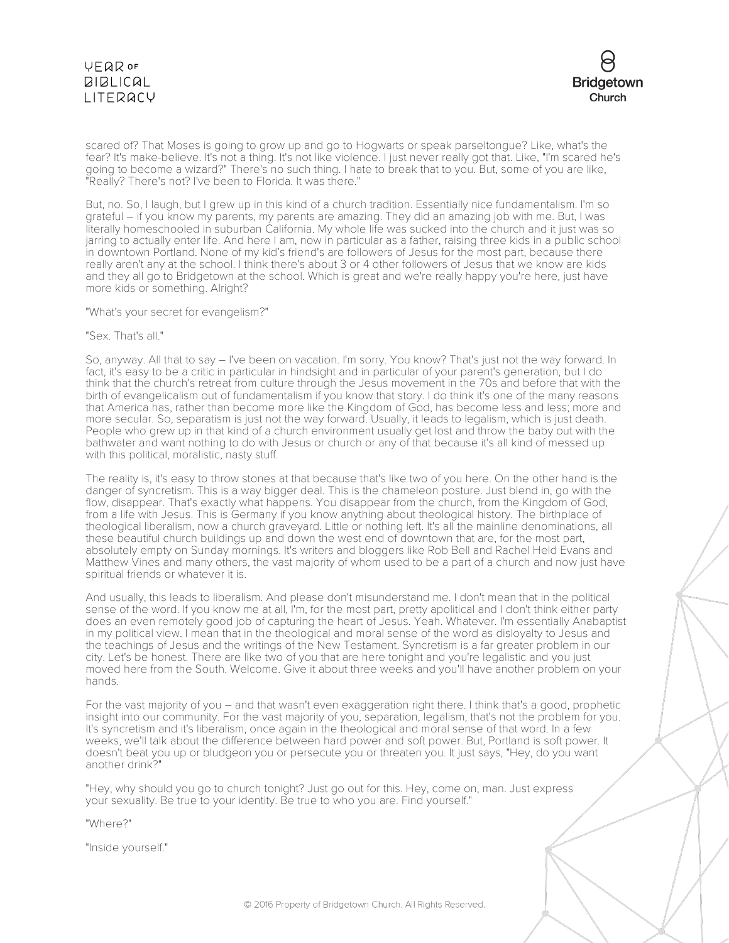

scared of? That Moses is going to grow up and go to Hogwarts or speak parseltongue? Like, what's the fear? It's make-believe. It's not a thing. It's not like violence. I just never really got that. Like, "I'm scared he's going to become a wizard?" There's no such thing. I hate to break that to you. But, some of you are like, "Really? There's not? I've been to Florida. It was there."

But, no. So, I laugh, but I grew up in this kind of a church tradition. Essentially nice fundamentalism. I'm so grateful – if you know my parents, my parents are amazing. They did an amazing job with me. But, I was literally homeschooled in suburban California. My whole life was sucked into the church and it just was so jarring to actually enter life. And here I am, now in particular as a father, raising three kids in a public school in downtown Portland. None of my kid's friend's are followers of Jesus for the most part, because there really aren't any at the school. I think there's about 3 or 4 other followers of Jesus that we know are kids and they all go to Bridgetown at the school. Which is great and we're really happy you're here, just have more kids or something. Alright?

"What's your secret for evangelism?"

### "Sex. That's all."

So, anyway. All that to say – I've been on vacation. I'm sorry. You know? That's just not the way forward. In fact, it's easy to be a critic in particular in hindsight and in particular of your parent's generation, but I do think that the church's retreat from culture through the Jesus movement in the 70s and before that with the birth of evangelicalism out of fundamentalism if you know that story. I do think it's one of the many reasons that America has, rather than become more like the Kingdom of God, has become less and less; more and more secular. So, separatism is just not the way forward. Usually, it leads to legalism, which is just death. People who grew up in that kind of a church environment usually get lost and throw the baby out with the bathwater and want nothing to do with Jesus or church or any of that because it's all kind of messed up with this political, moralistic, nasty stuff.

The reality is, it's easy to throw stones at that because that's like two of you here. On the other hand is the danger of syncretism. This is a way bigger deal. This is the chameleon posture. Just blend in, go with the flow, disappear. That's exactly what happens. You disappear from the church, from the Kingdom of God, from a life with Jesus. This is Germany if you know anything about theological history. The birthplace of theological liberalism, now a church graveyard. Little or nothing left. It's all the mainline denominations, all these beautiful church buildings up and down the west end of downtown that are, for the most part, absolutely empty on Sunday mornings. It's writers and bloggers like Rob Bell and Rachel Held Evans and Matthew Vines and many others, the vast majority of whom used to be a part of a church and now just have spiritual friends or whatever it is.

And usually, this leads to liberalism. And please don't misunderstand me. I don't mean that in the political sense of the word. If you know me at all, I'm, for the most part, pretty apolitical and I don't think either party does an even remotely good job of capturing the heart of Jesus. Yeah. Whatever. I'm essentially Anabaptist in my political view. I mean that in the theological and moral sense of the word as disloyalty to Jesus and the teachings of Jesus and the writings of the New Testament. Syncretism is a far greater problem in our city. Let's be honest. There are like two of you that are here tonight and you're legalistic and you just moved here from the South. Welcome. Give it about three weeks and you'll have another problem on your hands.

For the vast majority of you – and that wasn't even exaggeration right there. I think that's a good, prophetic insight into our community. For the vast majority of you, separation, legalism, that's not the problem for you. It's syncretism and it's liberalism, once again in the theological and moral sense of that word. In a few weeks, we'll talk about the difference between hard power and soft power. But, Portland is soft power. It doesn't beat you up or bludgeon you or persecute you or threaten you. It just says, "Hey, do you want another drink?"

"Hey, why should you go to church tonight? Just go out for this. Hey, come on, man. Just express your sexuality. Be true to your identity. Be true to who you are. Find yourself."

"Where?"

"Inside yourself."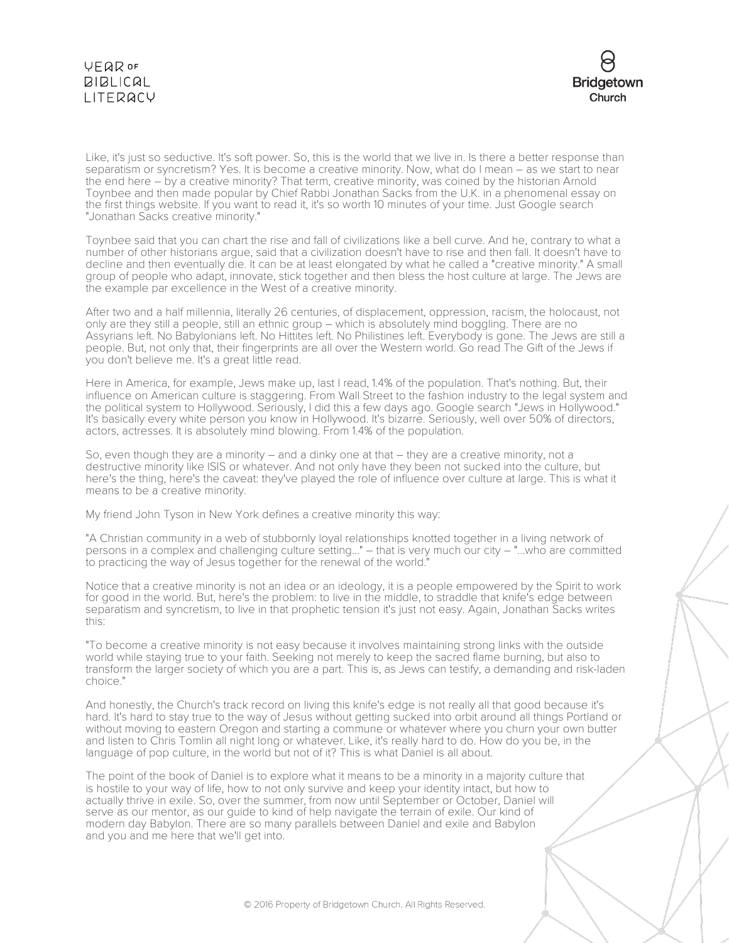

Like, it's just so seductive. It's soft power. So, this is the world that we live in. Is there a better response than separatism or syncretism? Yes. It is become a creative minority. Now, what do I mean – as we start to near the end here – by a creative minority? That term, creative minority, was coined by the historian Arnold Toynbee and then made popular by Chief Rabbi Jonathan Sacks from the U.K. in a phenomenal essay on the first things website. If you want to read it, it's so worth 10 minutes of your time. Just Google search "Jonathan Sacks creative minority."

Toynbee said that you can chart the rise and fall of civilizations like a bell curve. And he, contrary to what a number of other historians argue, said that a civilization doesn't have to rise and then fall. It doesn't have to decline and then eventually die. It can be at least elongated by what he called a "creative minority." A small group of people who adapt, innovate, stick together and then bless the host culture at large. The Jews are the example par excellence in the West of a creative minority.

After two and a half millennia, literally 26 centuries, of displacement, oppression, racism, the holocaust, not only are they still a people, still an ethnic group – which is absolutely mind boggling. There are no Assyrians left. No Babylonians left. No Hittites left. No Philistines left. Everybody is gone. The Jews are still a people. But, not only that, their fingerprints are all over the Western world. Go read The Gift of the Jews if you don't believe me. It's a great little read.

Here in America, for example, Jews make up, last I read, 1.4% of the population. That's nothing. But, their influence on American culture is staggering. From Wall Street to the fashion industry to the legal system and the political system to Hollywood. Seriously, I did this a few days ago. Google search "Jews in Hollywood." It's basically every white person you know in Hollywood. It's bizarre. Seriously, well over 50% of directors, actors, actresses. It is absolutely mind blowing. From 1.4% of the population.

So, even though they are a minority – and a dinky one at that – they are a creative minority, not a destructive minority like ISIS or whatever. And not only have they been not sucked into the culture, but here's the thing, here's the caveat: they've played the role of influence over culture at large. This is what it means to be a creative minority.

My friend John Tyson in New York defines a creative minority this way:

"A Christian community in a web of stubbornly loyal relationships knotted together in a living network of persons in a complex and challenging culture setting..." – that is very much our city – "...who are committed to practicing the way of Jesus together for the renewal of the world."

Notice that a creative minority is not an idea or an ideology, it is a people empowered by the Spirit to work for good in the world. But, here's the problem: to live in the middle, to straddle that knife's edge between separatism and syncretism, to live in that prophetic tension it's just not easy. Again, Jonathan Sacks writes this:

"To become a creative minority is not easy because it involves maintaining strong links with the outside world while staying true to your faith. Seeking not merely to keep the sacred flame burning, but also to transform the larger society of which you are a part. This is, as Jews can testify, a demanding and risk-laden choice."

And honestly, the Church's track record on living this knife's edge is not really all that good because it's hard. It's hard to stay true to the way of Jesus without getting sucked into orbit around all things Portland or without moving to eastern Oregon and starting a commune or whatever where you churn your own butter and listen to Chris Tomlin all night long or whatever. Like, it's really hard to do. How do you be, in the language of pop culture, in the world but not of it? This is what Daniel is all about.

The point of the book of Daniel is to explore what it means to be a minority in a majority culture that is hostile to your way of life, how to not only survive and keep your identity intact, but how to actually thrive in exile. So, over the summer, from now until September or October, Daniel will serve as our mentor, as our guide to kind of help navigate the terrain of exile. Our kind of modern day Babylon. There are so many parallels between Daniel and exile and Babylon and you and me here that we'll get into.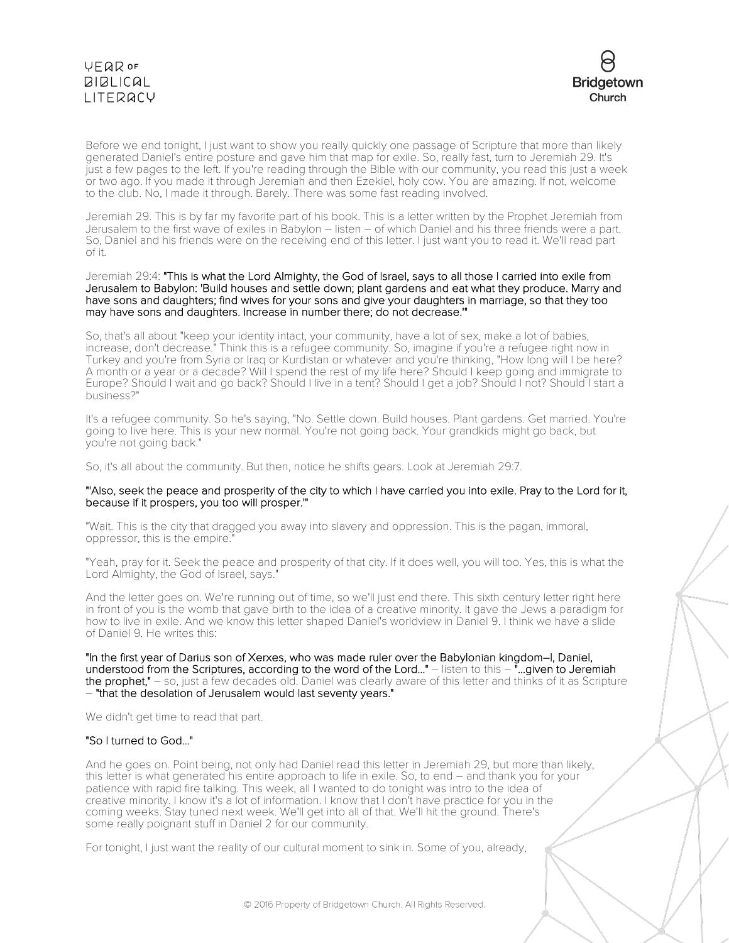

Before we end tonight, I just want to show you really quickly one passage of Scripture that more than likely generated Daniel's entire posture and gave him that map for exile. So, really fast, turn to Jeremiah 29. It's just a few pages to the left. If you're reading through the Bible with our community, you read this just a week or two ago. If you made it through Jeremiah and then Ezekiel, holy cow. You are amazing. If not, welcome to the club. No, I made it through. Barely. There was some fast reading involved.

Jeremiah 29. This is by far my favorite part of his book. This is a letter written by the Prophet Jeremiah from Jerusalem to the first wave of exiles in Babylon – listen – of which Daniel and his three friends were a part. So, Daniel and his friends were on the receiving end of this letter. I just want you to read it. We'll read part of it.

### Jeremiah 29:4: "This is what the Lord Almighty, the God of Israel, says to all those I carried into exile from Jerusalem to Babylon: 'Build houses and settle down; plant gardens and eat what they produce. Marry and have sons and daughters; find wives for your sons and give your daughters in marriage, so that they too may have sons and daughters. Increase in number there; do not decrease.'"

So, that's all about "keep your identity intact, your community, have a lot of sex, make a lot of babies, increase, don't decrease." Think this is a refugee community. So, imagine if you're a refugee right now in Turkey and you're from Syria or Iraq or Kurdistan or whatever and you're thinking, "How long will I be here? A month or a year or a decade? Will I spend the rest of my life here? Should I keep going and immigrate to Europe? Should I wait and go back? Should I live in a tent? Should I get a job? Should I not? Should I start a business?"

It's a refugee community. So he's saying, "No. Settle down. Build houses. Plant gardens. Get married. You're going to live here. This is your new normal. You're not going back. Your grandkids might go back, but you're not going back."

So, it's all about the community. But then, notice he shifts gears. Look at Jeremiah 29:7.

### "'Also, seek the peace and prosperity of the city to which I have carried you into exile. Pray to the Lord for it, because if it prospers, you too will prosper.'"

"Wait. This is the city that dragged you away into slavery and oppression. This is the pagan, immoral, oppressor, this is the empire.

"Yeah, pray for it. Seek the peace and prosperity of that city. If it does well, you will too. Yes, this is what the Lord Almighty, the God of Israel, says."

And the letter goes on. We're running out of time, so we'll just end there. This sixth century letter right here in front of you is the womb that gave birth to the idea of a creative minority. It gave the Jews a paradigm for how to live in exile. And we know this letter shaped Daniel's worldview in Daniel 9. I think we have a slide of Daniel 9. He writes this:

"In the first year of Darius son of Xerxes, who was made ruler over the Babylonian kingdom–I, Daniel, understood from the Scriptures, according to the word of the Lord..." – listen to this – "...given to Jeremiah the prophet," – so, just a few decades old. Daniel was clearly aware of this letter and thinks of it as Scripture – "that the desolation of Jerusalem would last seventy years."

We didn't get time to read that part.

### "So I turned to God..."

And he goes on. Point being, not only had Daniel read this letter in Jeremiah 29, but more than likely, this letter is what generated his entire approach to life in exile. So, to end – and thank you for your patience with rapid fire talking. This week, all I wanted to do tonight was intro to the idea of creative minority. I know it's a lot of information. I know that I don't have practice for you in the coming weeks. Stay tuned next week. We'll get into all of that. We'll hit the ground. There's some really poignant stuff in Daniel 2 for our community.

For tonight, I just want the reality of our cultural moment to sink in. Some of you, already,